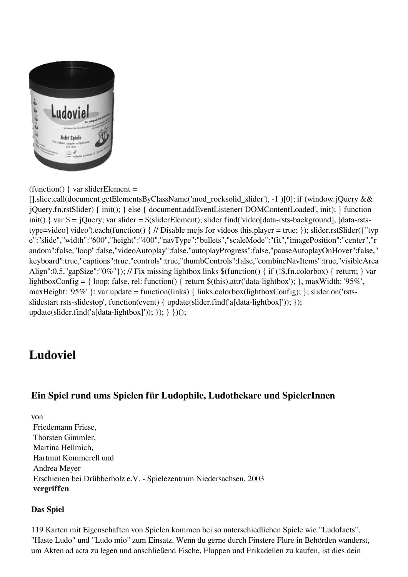

 $function() \{ var s \}$ liderElement =

[].slice.call(document.getElementsByClassName('mod\_rocksolid\_slider'), -1 )[0]; if (window.jQuery && jQuery.fn.rstSlider) { init(); } else { document.addEventListener('DOMContentLoaded', init); } function init() { var \$ = jQuery; var slider = \$(sliderElement); slider.find('video[data-rsts-background], [data-rststype=video] video').each(function() { // Disable mejs for videos this.player = true; }); slider.rstSlider({"typ e":"slide","width":"600","height":"400","navType":"bullets","scaleMode":"fit","imagePosition":"center","r andom":false,"loop":false,"videoAutoplay":false,"autoplayProgress":false,"pauseAutoplayOnHover":false," keyboard":true,"captions":true,"controls":true,"thumbControls":false,"combineNavItems":true,"visibleArea Align":0.5,"gapSize":"0%"}); // Fix missing lightbox links \$(function() { if (!\$.fn.colorbox) { return; } var lightboxConfig = { loop: false, rel: function() { return \$(this).attr('data-lightbox'); }, maxWidth: '95%', maxHeight: '95%' }; var update = function(links) { links.colorbox(lightboxConfig); }; slider.on('rstsslidestart rsts-slidestop', function(event) { update(slider.find('a[data-lightbox]')); }); update(slider.find('a[data-lightbox]')); }); } })();

## **Ludoviel**

## **Ein Spiel rund ums Spielen für Ludophile, Ludothekare und SpielerInnen**

von Friedemann Friese, Thorsten Gimmler, Martina Hellmich, Hartmut Kommerell und Andrea Meyer Erschienen bei Drübberholz e.V. - Spielezentrum Niedersachsen, 2003 **vergriffen**

## **Das Spiel**

119 Karten mit Eigenschaften von Spielen kommen bei so unterschiedlichen Spiele wie "Ludofacts", "Haste Ludo" und "Ludo mio" zum Einsatz. Wenn du gerne durch Finstere Flure in Behörden wanderst, um Akten ad acta zu legen und anschließend Fische, Fluppen und Frikadellen zu kaufen, ist dies dein